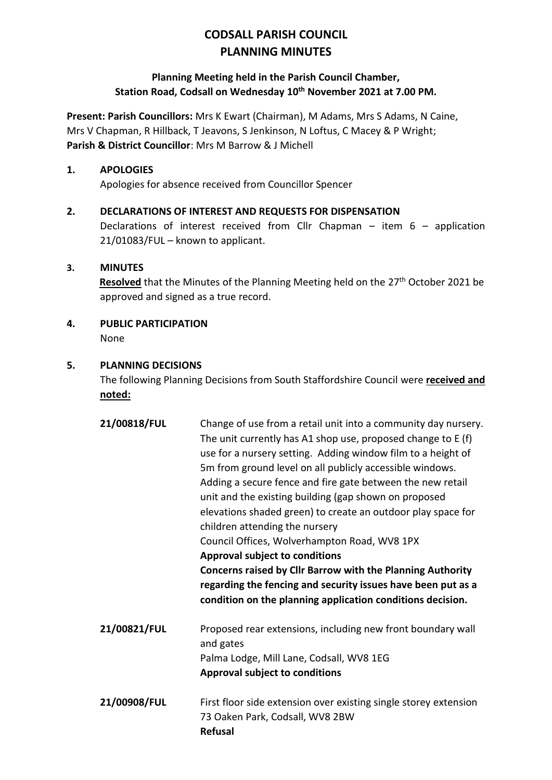# **CODSALL PARISH COUNCIL PLANNING MINUTES**

#### **Planning Meeting held in the Parish Council Chamber, Station Road, Codsall on Wednesday 10th November 2021 at 7.00 PM.**

**Present: Parish Councillors:** Mrs K Ewart (Chairman), M Adams, Mrs S Adams, N Caine, Mrs V Chapman, R Hillback, T Jeavons, S Jenkinson, N Loftus, C Macey & P Wright; **Parish & District Councillor**: Mrs M Barrow & J Michell

#### **1. APOLOGIES**

Apologies for absence received from Councillor Spencer

### **2. DECLARATIONS OF INTEREST AND REQUESTS FOR DISPENSATION**

Declarations of interest received from Cllr Chapman – item 6 – application 21/01083/FUL – known to applicant.

#### **3. MINUTES**

**Resolved** that the Minutes of the Planning Meeting held on the 27<sup>th</sup> October 2021 be approved and signed as a true record.

# **4. PUBLIC PARTICIPATION**

None

#### **5. PLANNING DECISIONS**

The following Planning Decisions from South Staffordshire Council were **received and noted:**

**21/00818/FUL** Change of use from a retail unit into a community day nursery. The unit currently has A1 shop use, proposed change to E (f) use for a nursery setting. Adding window film to a height of 5m from ground level on all publicly accessible windows. Adding a secure fence and fire gate between the new retail unit and the existing building (gap shown on proposed elevations shaded green) to create an outdoor play space for children attending the nursery Council Offices, Wolverhampton Road, WV8 1PX **Approval subject to conditions Concerns raised by Cllr Barrow with the Planning Authority regarding the fencing and security issues have been put as a condition on the planning application conditions decision. 21/00821/FUL** Proposed rear extensions, including new front boundary wall and gates Palma Lodge, Mill Lane, Codsall, WV8 1EG **Approval subject to conditions 21/00908/FUL** First floor side extension over existing single storey extension 73 Oaken Park, Codsall, WV8 2BW

**Refusal**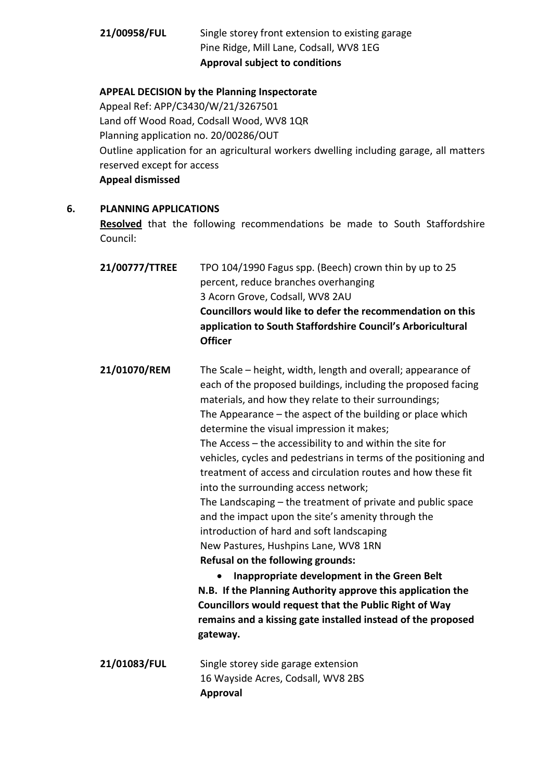## **21/00958/FUL** Single storey front extension to existing garage Pine Ridge, Mill Lane, Codsall, WV8 1EG **Approval subject to conditions**

#### **APPEAL DECISION by the Planning Inspectorate**

Appeal Ref: APP/C3430/W/21/3267501 Land off Wood Road, Codsall Wood, WV8 1QR Planning application no. 20/00286/OUT Outline application for an agricultural workers dwelling including garage, all matters reserved except for access **Appeal dismissed**

**6. PLANNING APPLICATIONS**

**Resolved** that the following recommendations be made to South Staffordshire Council:

**21/00777/TTREE** TPO 104/1990 Fagus spp. (Beech) crown thin by up to 25 percent, reduce branches overhanging 3 Acorn Grove, Codsall, WV8 2AU **Councillors would like to defer the recommendation on this application to South Staffordshire Council's Arboricultural Officer**

**21/01070/REM** The Scale – height, width, length and overall; appearance of each of the proposed buildings, including the proposed facing materials, and how they relate to their surroundings; The Appearance – the aspect of the building or place which determine the visual impression it makes; The Access – the accessibility to and within the site for vehicles, cycles and pedestrians in terms of the positioning and treatment of access and circulation routes and how these fit into the surrounding access network; The Landscaping – the treatment of private and public space and the impact upon the site's amenity through the introduction of hard and soft landscaping New Pastures, Hushpins Lane, WV8 1RN **Refusal on the following grounds:** • **Inappropriate development in the Green Belt N.B. If the Planning Authority approve this application the** 

- **Councillors would request that the Public Right of Way remains and a kissing gate installed instead of the proposed gateway.**
- **21/01083/FUL** Single storey side garage extension 16 Wayside Acres, Codsall, WV8 2BS **Approval**